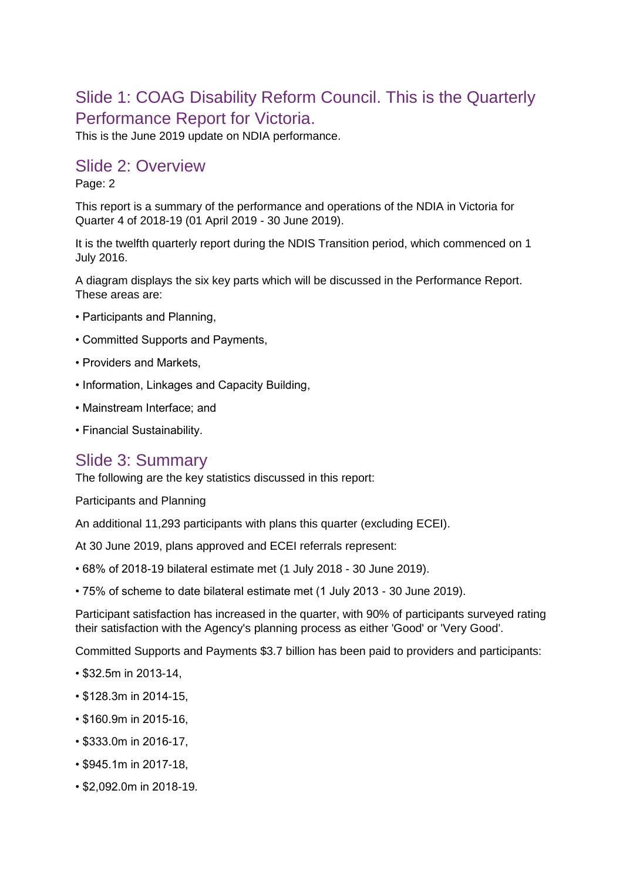# Slide 1: COAG Disability Reform Council. This is the Quarterly Performance Report for Victoria.

This is the June 2019 update on NDIA performance.

#### Slide 2: Overview

#### Page: 2

This report is a summary of the performance and operations of the NDIA in Victoria for Quarter 4 of 2018-19 (01 April 2019 - 30 June 2019).

It is the twelfth quarterly report during the NDIS Transition period, which commenced on 1 July 2016.

A diagram displays the six key parts which will be discussed in the Performance Report. These areas are:

- Participants and Planning,
- Committed Supports and Payments,
- Providers and Markets,
- Information, Linkages and Capacity Building,
- Mainstream Interface; and
- Financial Sustainability.

#### Slide 3: Summary

The following are the key statistics discussed in this report:

Participants and Planning

An additional 11,293 participants with plans this quarter (excluding ECEI).

At 30 June 2019, plans approved and ECEI referrals represent:

- 68% of 2018-19 bilateral estimate met (1 July 2018 30 June 2019).
- 75% of scheme to date bilateral estimate met (1 July 2013 30 June 2019).

Participant satisfaction has increased in the quarter, with 90% of participants surveyed rating their satisfaction with the Agency's planning process as either 'Good' or 'Very Good'.

Committed Supports and Payments \$3.7 billion has been paid to providers and participants:

- \$32.5m in 2013-14,
- \$128.3m in 2014-15,
- \$160.9m in 2015-16,
- \$333.0m in 2016-17,
- \$945.1m in 2017-18,
- \$2,092.0m in 2018-19.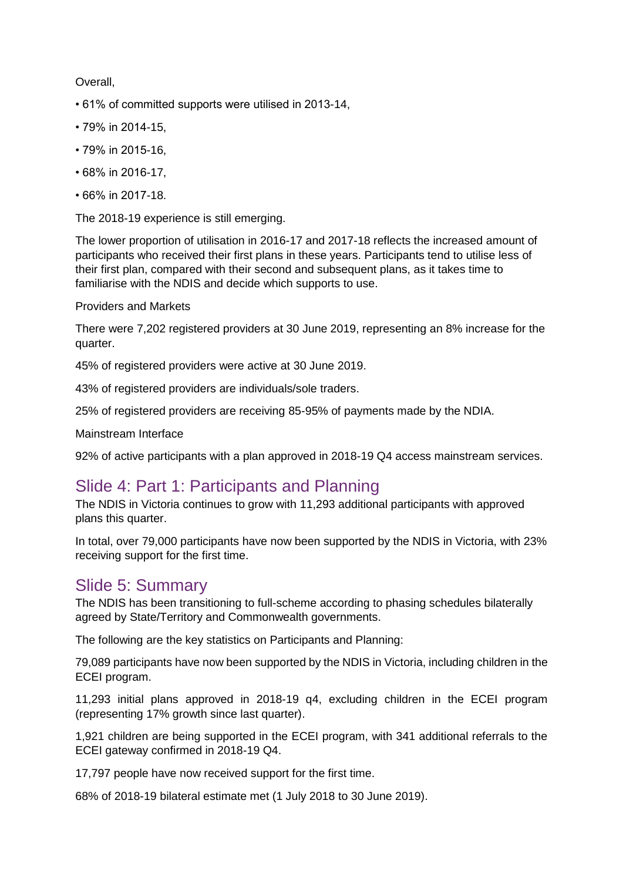#### Overall,

- 61% of committed supports were utilised in 2013-14,
- 79% in 2014-15,
- 79% in 2015-16,
- 68% in 2016-17,
- 66% in 2017-18.

The 2018-19 experience is still emerging.

The lower proportion of utilisation in 2016-17 and 2017-18 reflects the increased amount of participants who received their first plans in these years. Participants tend to utilise less of their first plan, compared with their second and subsequent plans, as it takes time to familiarise with the NDIS and decide which supports to use.

Providers and Markets

There were 7,202 registered providers at 30 June 2019, representing an 8% increase for the quarter.

45% of registered providers were active at 30 June 2019.

43% of registered providers are individuals/sole traders.

25% of registered providers are receiving 85-95% of payments made by the NDIA.

Mainstream Interface

92% of active participants with a plan approved in 2018-19 Q4 access mainstream services.

# Slide 4: Part 1: Participants and Planning

The NDIS in Victoria continues to grow with 11,293 additional participants with approved plans this quarter.

In total, over 79,000 participants have now been supported by the NDIS in Victoria, with 23% receiving support for the first time.

#### Slide 5: Summary

The NDIS has been transitioning to full-scheme according to phasing schedules bilaterally agreed by State/Territory and Commonwealth governments.

The following are the key statistics on Participants and Planning:

79,089 participants have now been supported by the NDIS in Victoria, including children in the ECEI program.

11,293 initial plans approved in 2018-19 q4, excluding children in the ECEI program (representing 17% growth since last quarter).

1,921 children are being supported in the ECEI program, with 341 additional referrals to the ECEI gateway confirmed in 2018-19 Q4.

17,797 people have now received support for the first time.

68% of 2018-19 bilateral estimate met (1 July 2018 to 30 June 2019).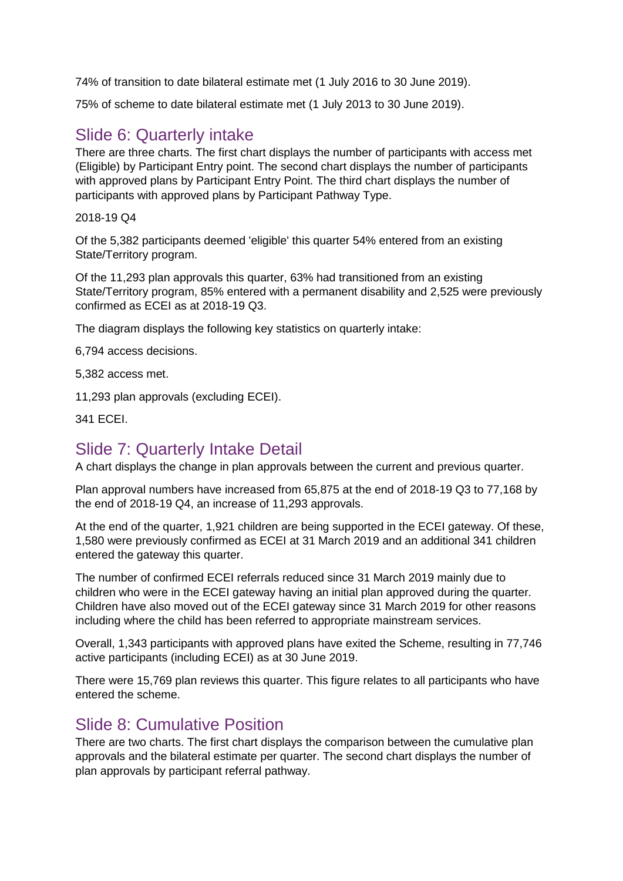74% of transition to date bilateral estimate met (1 July 2016 to 30 June 2019).

75% of scheme to date bilateral estimate met (1 July 2013 to 30 June 2019).

# Slide 6: Quarterly intake

There are three charts. The first chart displays the number of participants with access met (Eligible) by Participant Entry point. The second chart displays the number of participants with approved plans by Participant Entry Point. The third chart displays the number of participants with approved plans by Participant Pathway Type.

2018-19 Q4

Of the 5,382 participants deemed 'eligible' this quarter 54% entered from an existing State/Territory program.

Of the 11,293 plan approvals this quarter, 63% had transitioned from an existing State/Territory program, 85% entered with a permanent disability and 2,525 were previously confirmed as ECEI as at 2018-19 Q3.

The diagram displays the following key statistics on quarterly intake:

6,794 access decisions.

5,382 access met.

11,293 plan approvals (excluding ECEI).

341 ECEI.

# Slide 7: Quarterly Intake Detail

A chart displays the change in plan approvals between the current and previous quarter.

Plan approval numbers have increased from 65,875 at the end of 2018-19 Q3 to 77,168 by the end of 2018-19 Q4, an increase of 11,293 approvals.

At the end of the quarter, 1,921 children are being supported in the ECEI gateway. Of these, 1,580 were previously confirmed as ECEI at 31 March 2019 and an additional 341 children entered the gateway this quarter.

The number of confirmed ECEI referrals reduced since 31 March 2019 mainly due to children who were in the ECEI gateway having an initial plan approved during the quarter. Children have also moved out of the ECEI gateway since 31 March 2019 for other reasons including where the child has been referred to appropriate mainstream services.

Overall, 1,343 participants with approved plans have exited the Scheme, resulting in 77,746 active participants (including ECEI) as at 30 June 2019.

There were 15,769 plan reviews this quarter. This figure relates to all participants who have entered the scheme.

### Slide 8: Cumulative Position

There are two charts. The first chart displays the comparison between the cumulative plan approvals and the bilateral estimate per quarter. The second chart displays the number of plan approvals by participant referral pathway.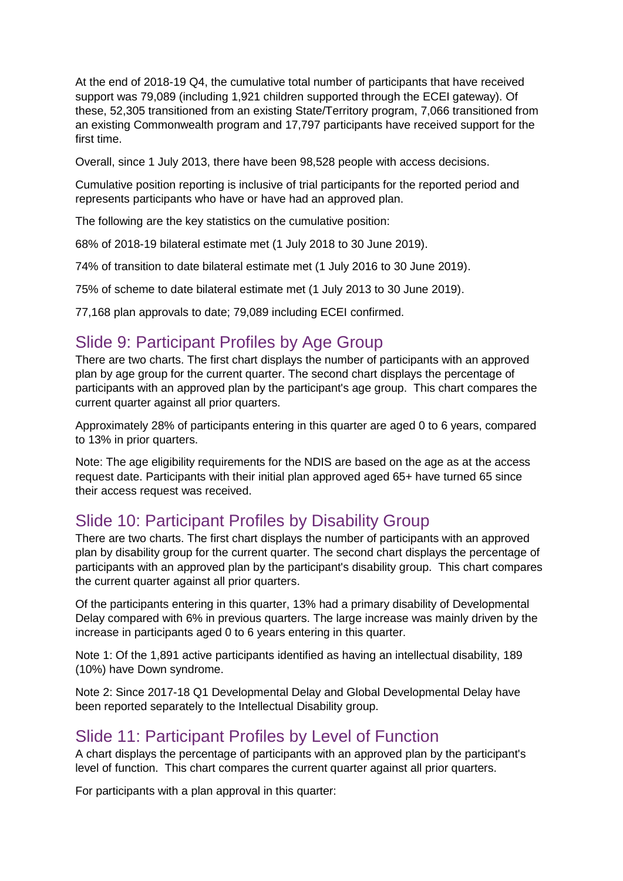At the end of 2018-19 Q4, the cumulative total number of participants that have received support was 79,089 (including 1,921 children supported through the ECEI gateway). Of these, 52,305 transitioned from an existing State/Territory program, 7,066 transitioned from an existing Commonwealth program and 17,797 participants have received support for the first time.

Overall, since 1 July 2013, there have been 98,528 people with access decisions.

Cumulative position reporting is inclusive of trial participants for the reported period and represents participants who have or have had an approved plan.

The following are the key statistics on the cumulative position:

68% of 2018-19 bilateral estimate met (1 July 2018 to 30 June 2019).

74% of transition to date bilateral estimate met (1 July 2016 to 30 June 2019).

75% of scheme to date bilateral estimate met (1 July 2013 to 30 June 2019).

77,168 plan approvals to date; 79,089 including ECEI confirmed.

### Slide 9: Participant Profiles by Age Group

There are two charts. The first chart displays the number of participants with an approved plan by age group for the current quarter. The second chart displays the percentage of participants with an approved plan by the participant's age group. This chart compares the current quarter against all prior quarters.

Approximately 28% of participants entering in this quarter are aged 0 to 6 years, compared to 13% in prior quarters.

Note: The age eligibility requirements for the NDIS are based on the age as at the access request date. Participants with their initial plan approved aged 65+ have turned 65 since their access request was received.

# Slide 10: Participant Profiles by Disability Group

There are two charts. The first chart displays the number of participants with an approved plan by disability group for the current quarter. The second chart displays the percentage of participants with an approved plan by the participant's disability group. This chart compares the current quarter against all prior quarters.

Of the participants entering in this quarter, 13% had a primary disability of Developmental Delay compared with 6% in previous quarters. The large increase was mainly driven by the increase in participants aged 0 to 6 years entering in this quarter.

Note 1: Of the 1,891 active participants identified as having an intellectual disability, 189 (10%) have Down syndrome.

Note 2: Since 2017-18 Q1 Developmental Delay and Global Developmental Delay have been reported separately to the Intellectual Disability group.

#### Slide 11: Participant Profiles by Level of Function

A chart displays the percentage of participants with an approved plan by the participant's level of function. This chart compares the current quarter against all prior quarters.

For participants with a plan approval in this quarter: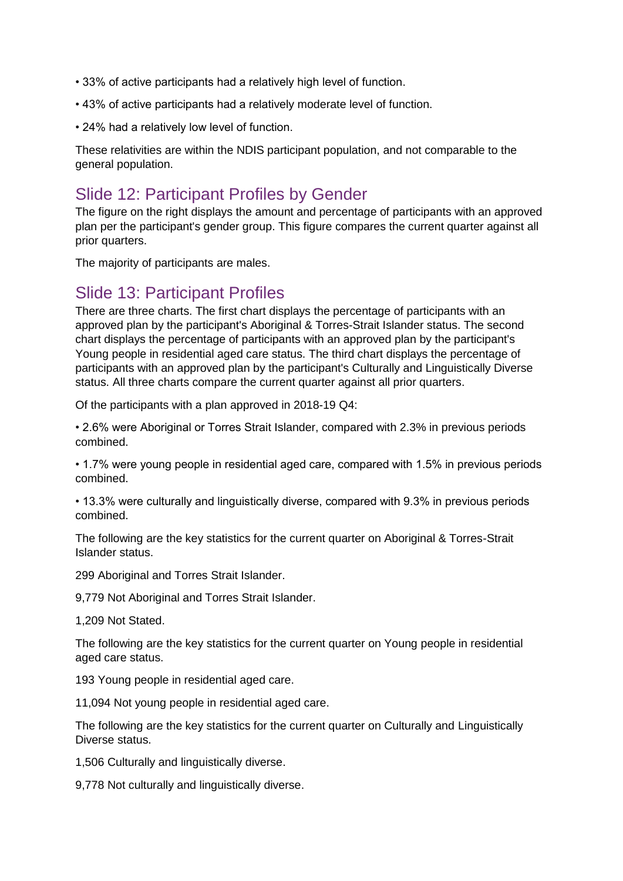- 33% of active participants had a relatively high level of function.
- 43% of active participants had a relatively moderate level of function.
- 24% had a relatively low level of function.

These relativities are within the NDIS participant population, and not comparable to the general population.

# Slide 12: Participant Profiles by Gender

The figure on the right displays the amount and percentage of participants with an approved plan per the participant's gender group. This figure compares the current quarter against all prior quarters.

The majority of participants are males.

#### Slide 13: Participant Profiles

There are three charts. The first chart displays the percentage of participants with an approved plan by the participant's Aboriginal & Torres-Strait Islander status. The second chart displays the percentage of participants with an approved plan by the participant's Young people in residential aged care status. The third chart displays the percentage of participants with an approved plan by the participant's Culturally and Linguistically Diverse status. All three charts compare the current quarter against all prior quarters.

Of the participants with a plan approved in 2018-19 Q4:

• 2.6% were Aboriginal or Torres Strait Islander, compared with 2.3% in previous periods combined.

• 1.7% were young people in residential aged care, compared with 1.5% in previous periods combined.

• 13.3% were culturally and linguistically diverse, compared with 9.3% in previous periods combined.

The following are the key statistics for the current quarter on Aboriginal & Torres-Strait Islander status.

299 Aboriginal and Torres Strait Islander.

9,779 Not Aboriginal and Torres Strait Islander.

1,209 Not Stated.

The following are the key statistics for the current quarter on Young people in residential aged care status.

193 Young people in residential aged care.

11,094 Not young people in residential aged care.

The following are the key statistics for the current quarter on Culturally and Linguistically Diverse status.

1,506 Culturally and linguistically diverse.

9,778 Not culturally and linguistically diverse.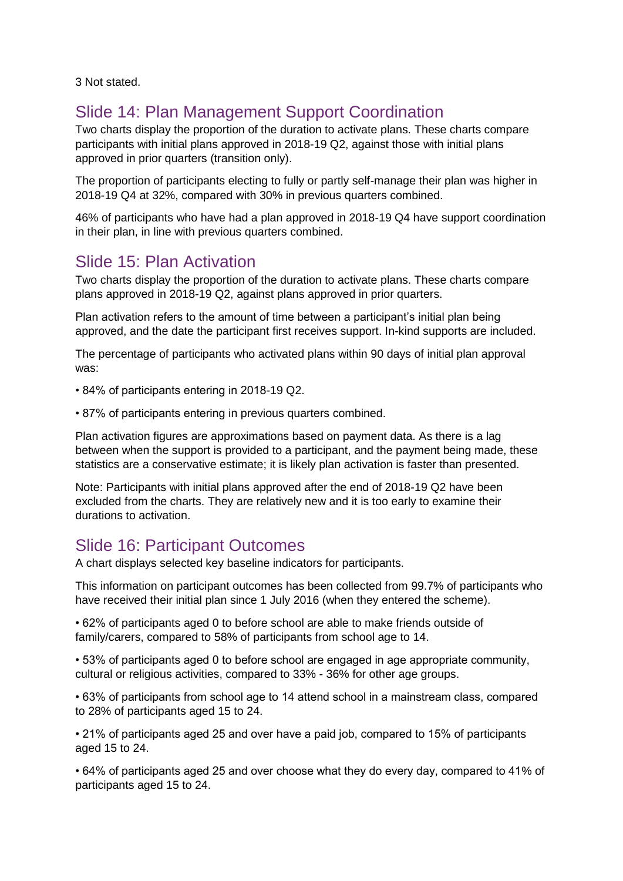3 Not stated.

# Slide 14: Plan Management Support Coordination

Two charts display the proportion of the duration to activate plans. These charts compare participants with initial plans approved in 2018-19 Q2, against those with initial plans approved in prior quarters (transition only).

The proportion of participants electing to fully or partly self-manage their plan was higher in 2018-19 Q4 at 32%, compared with 30% in previous quarters combined.

46% of participants who have had a plan approved in 2018-19 Q4 have support coordination in their plan, in line with previous quarters combined.

# Slide 15: Plan Activation

Two charts display the proportion of the duration to activate plans. These charts compare plans approved in 2018-19 Q2, against plans approved in prior quarters.

Plan activation refers to the amount of time between a participant's initial plan being approved, and the date the participant first receives support. In-kind supports are included.

The percentage of participants who activated plans within 90 days of initial plan approval was:

• 84% of participants entering in 2018-19 Q2.

• 87% of participants entering in previous quarters combined.

Plan activation figures are approximations based on payment data. As there is a lag between when the support is provided to a participant, and the payment being made, these statistics are a conservative estimate; it is likely plan activation is faster than presented.

Note: Participants with initial plans approved after the end of 2018-19 Q2 have been excluded from the charts. They are relatively new and it is too early to examine their durations to activation.

# Slide 16: Participant Outcomes

A chart displays selected key baseline indicators for participants.

This information on participant outcomes has been collected from 99.7% of participants who have received their initial plan since 1 July 2016 (when they entered the scheme).

• 62% of participants aged 0 to before school are able to make friends outside of family/carers, compared to 58% of participants from school age to 14.

• 53% of participants aged 0 to before school are engaged in age appropriate community, cultural or religious activities, compared to 33% - 36% for other age groups.

• 63% of participants from school age to 14 attend school in a mainstream class, compared to 28% of participants aged 15 to 24.

• 21% of participants aged 25 and over have a paid job, compared to 15% of participants aged 15 to 24.

• 64% of participants aged 25 and over choose what they do every day, compared to 41% of participants aged 15 to 24.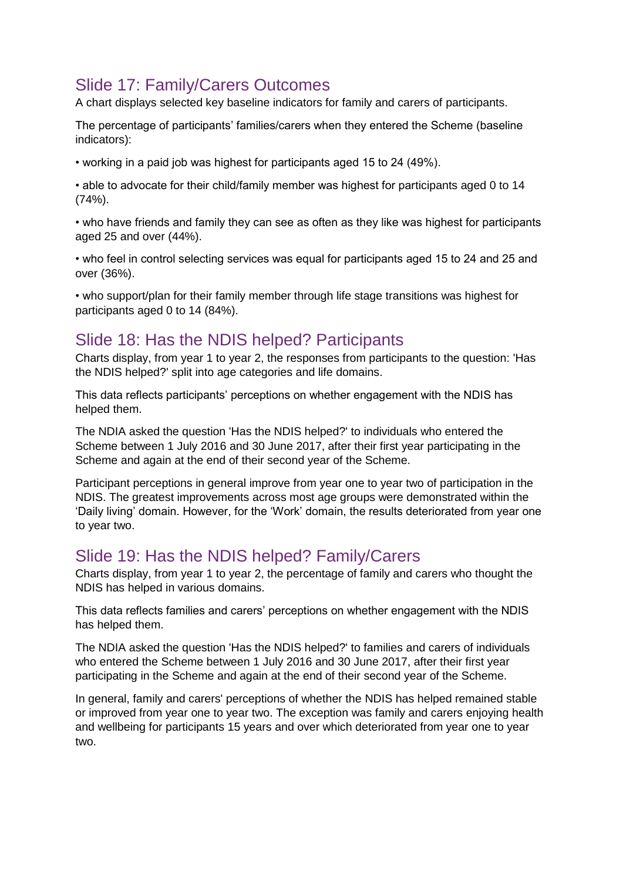# Slide 17: Family/Carers Outcomes

A chart displays selected key baseline indicators for family and carers of participants.

The percentage of participants' families/carers when they entered the Scheme (baseline indicators):

• working in a paid job was highest for participants aged 15 to 24 (49%).

• able to advocate for their child/family member was highest for participants aged 0 to 14 (74%).

• who have friends and family they can see as often as they like was highest for participants aged 25 and over (44%).

• who feel in control selecting services was equal for participants aged 15 to 24 and 25 and over (36%).

• who support/plan for their family member through life stage transitions was highest for participants aged 0 to 14 (84%).

# Slide 18: Has the NDIS helped? Participants

Charts display, from year 1 to year 2, the responses from participants to the question: 'Has the NDIS helped?' split into age categories and life domains.

This data reflects participants' perceptions on whether engagement with the NDIS has helped them.

The NDIA asked the question 'Has the NDIS helped?' to individuals who entered the Scheme between 1 July 2016 and 30 June 2017, after their first year participating in the Scheme and again at the end of their second year of the Scheme.

Participant perceptions in general improve from year one to year two of participation in the NDIS. The greatest improvements across most age groups were demonstrated within the 'Daily living' domain. However, for the 'Work' domain, the results deteriorated from year one to year two.

# Slide 19: Has the NDIS helped? Family/Carers

Charts display, from year 1 to year 2, the percentage of family and carers who thought the NDIS has helped in various domains.

This data reflects families and carers' perceptions on whether engagement with the NDIS has helped them.

The NDIA asked the question 'Has the NDIS helped?' to families and carers of individuals who entered the Scheme between 1 July 2016 and 30 June 2017, after their first year participating in the Scheme and again at the end of their second year of the Scheme.

In general, family and carers' perceptions of whether the NDIS has helped remained stable or improved from year one to year two. The exception was family and carers enjoying health and wellbeing for participants 15 years and over which deteriorated from year one to year two.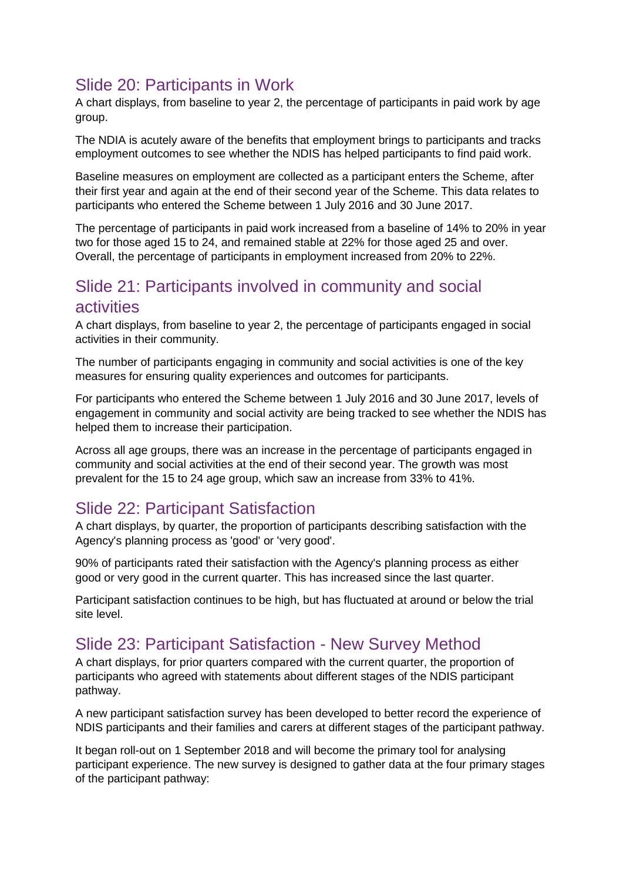# Slide 20: Participants in Work

A chart displays, from baseline to year 2, the percentage of participants in paid work by age group.

The NDIA is acutely aware of the benefits that employment brings to participants and tracks employment outcomes to see whether the NDIS has helped participants to find paid work.

Baseline measures on employment are collected as a participant enters the Scheme, after their first year and again at the end of their second year of the Scheme. This data relates to participants who entered the Scheme between 1 July 2016 and 30 June 2017.

The percentage of participants in paid work increased from a baseline of 14% to 20% in year two for those aged 15 to 24, and remained stable at 22% for those aged 25 and over. Overall, the percentage of participants in employment increased from 20% to 22%.

### Slide 21: Participants involved in community and social activities

A chart displays, from baseline to year 2, the percentage of participants engaged in social activities in their community.

The number of participants engaging in community and social activities is one of the key measures for ensuring quality experiences and outcomes for participants.

For participants who entered the Scheme between 1 July 2016 and 30 June 2017, levels of engagement in community and social activity are being tracked to see whether the NDIS has helped them to increase their participation.

Across all age groups, there was an increase in the percentage of participants engaged in community and social activities at the end of their second year. The growth was most prevalent for the 15 to 24 age group, which saw an increase from 33% to 41%.

# Slide 22: Participant Satisfaction

A chart displays, by quarter, the proportion of participants describing satisfaction with the Agency's planning process as 'good' or 'very good'.

90% of participants rated their satisfaction with the Agency's planning process as either good or very good in the current quarter. This has increased since the last quarter.

Participant satisfaction continues to be high, but has fluctuated at around or below the trial site level.

### Slide 23: Participant Satisfaction - New Survey Method

A chart displays, for prior quarters compared with the current quarter, the proportion of participants who agreed with statements about different stages of the NDIS participant pathway.

A new participant satisfaction survey has been developed to better record the experience of NDIS participants and their families and carers at different stages of the participant pathway.

It began roll-out on 1 September 2018 and will become the primary tool for analysing participant experience. The new survey is designed to gather data at the four primary stages of the participant pathway: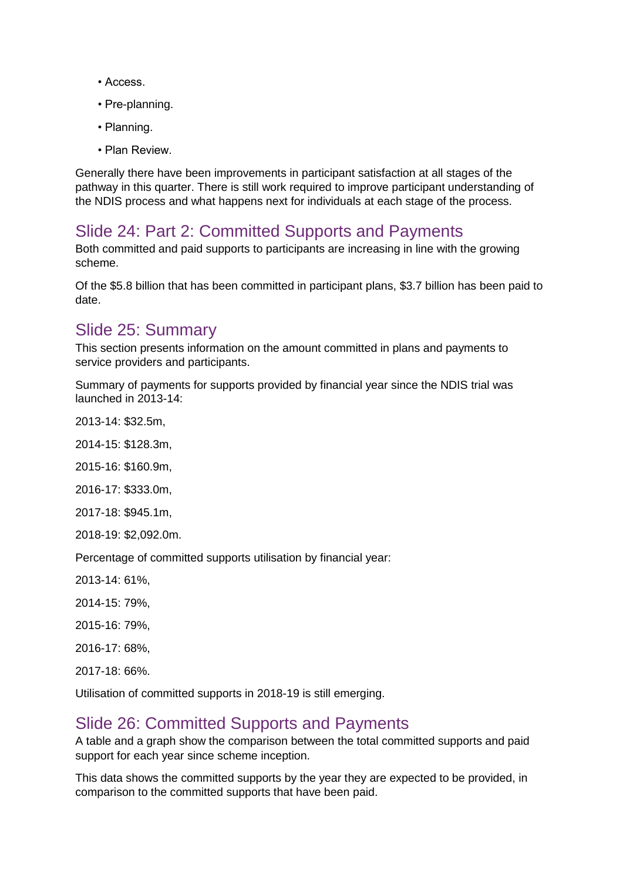- Access.
- Pre-planning.
- Planning.
- Plan Review.

Generally there have been improvements in participant satisfaction at all stages of the pathway in this quarter. There is still work required to improve participant understanding of the NDIS process and what happens next for individuals at each stage of the process.

# Slide 24: Part 2: Committed Supports and Payments

Both committed and paid supports to participants are increasing in line with the growing scheme.

Of the \$5.8 billion that has been committed in participant plans, \$3.7 billion has been paid to date.

### Slide 25: Summary

This section presents information on the amount committed in plans and payments to service providers and participants.

Summary of payments for supports provided by financial year since the NDIS trial was launched in 2013-14:

2013-14: \$32.5m,

2014-15: \$128.3m,

2015-16: \$160.9m,

2016-17: \$333.0m,

2017-18: \$945.1m,

2018-19: \$2,092.0m.

Percentage of committed supports utilisation by financial year:

- 2013-14: 61%,
- 2014-15: 79%,
- 2015-16: 79%,
- 2016-17: 68%,

2017-18: 66%.

Utilisation of committed supports in 2018-19 is still emerging.

### Slide 26: Committed Supports and Payments

A table and a graph show the comparison between the total committed supports and paid support for each year since scheme inception.

This data shows the committed supports by the year they are expected to be provided, in comparison to the committed supports that have been paid.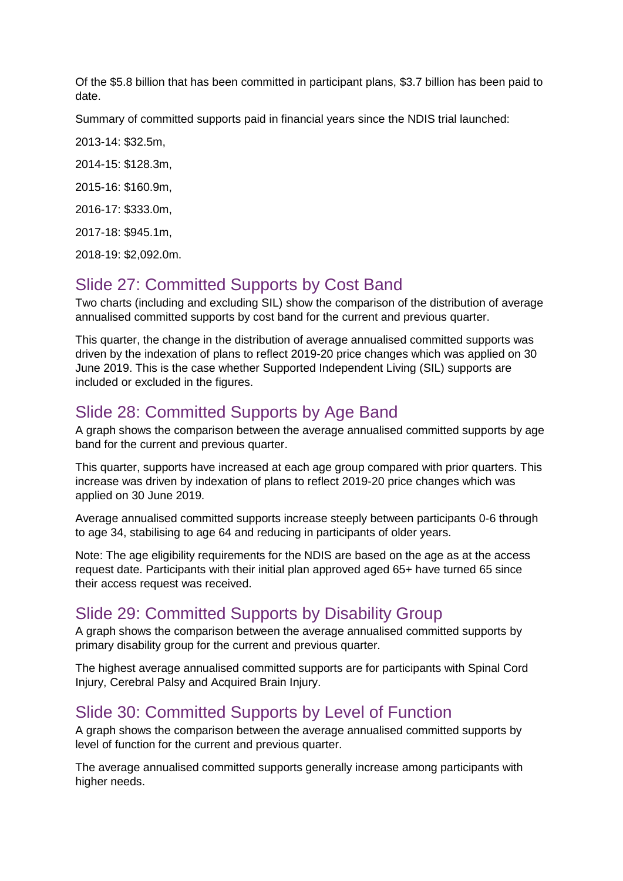Of the \$5.8 billion that has been committed in participant plans, \$3.7 billion has been paid to date.

Summary of committed supports paid in financial years since the NDIS trial launched:

2013-14: \$32.5m,

2014-15: \$128.3m,

2015-16: \$160.9m,

2016-17: \$333.0m,

2017-18: \$945.1m,

2018-19: \$2,092.0m.

# Slide 27: Committed Supports by Cost Band

Two charts (including and excluding SIL) show the comparison of the distribution of average annualised committed supports by cost band for the current and previous quarter.

This quarter, the change in the distribution of average annualised committed supports was driven by the indexation of plans to reflect 2019-20 price changes which was applied on 30 June 2019. This is the case whether Supported Independent Living (SIL) supports are included or excluded in the figures.

# Slide 28: Committed Supports by Age Band

A graph shows the comparison between the average annualised committed supports by age band for the current and previous quarter.

This quarter, supports have increased at each age group compared with prior quarters. This increase was driven by indexation of plans to reflect 2019-20 price changes which was applied on 30 June 2019.

Average annualised committed supports increase steeply between participants 0-6 through to age 34, stabilising to age 64 and reducing in participants of older years.

Note: The age eligibility requirements for the NDIS are based on the age as at the access request date. Participants with their initial plan approved aged 65+ have turned 65 since their access request was received.

# Slide 29: Committed Supports by Disability Group

A graph shows the comparison between the average annualised committed supports by primary disability group for the current and previous quarter.

The highest average annualised committed supports are for participants with Spinal Cord Injury, Cerebral Palsy and Acquired Brain Injury.

# Slide 30: Committed Supports by Level of Function

A graph shows the comparison between the average annualised committed supports by level of function for the current and previous quarter.

The average annualised committed supports generally increase among participants with higher needs.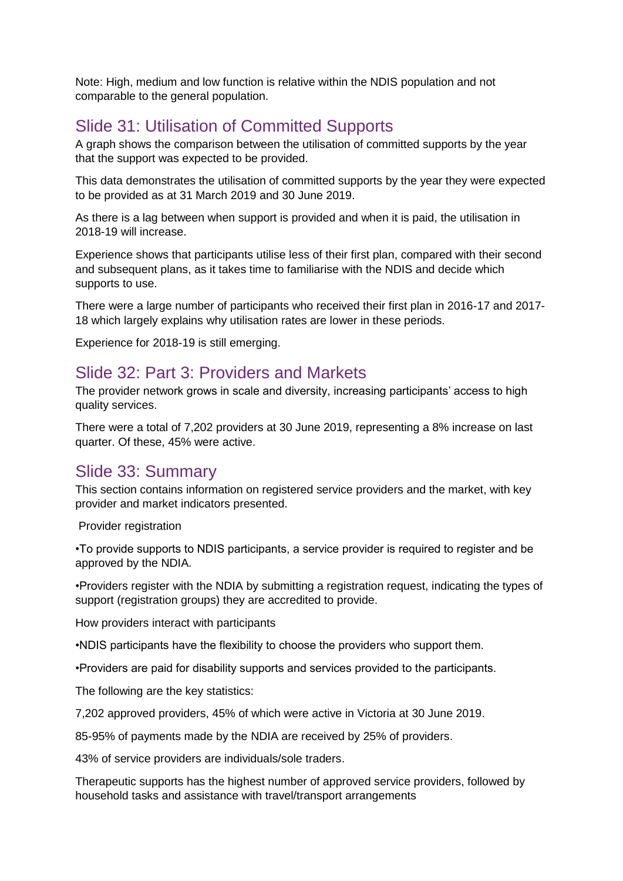Note: High, medium and low function is relative within the NDIS population and not comparable to the general population.

# Slide 31: Utilisation of Committed Supports

A graph shows the comparison between the utilisation of committed supports by the year that the support was expected to be provided.

This data demonstrates the utilisation of committed supports by the year they were expected to be provided as at 31 March 2019 and 30 June 2019.

As there is a lag between when support is provided and when it is paid, the utilisation in 2018-19 will increase.

Experience shows that participants utilise less of their first plan, compared with their second and subsequent plans, as it takes time to familiarise with the NDIS and decide which supports to use.

There were a large number of participants who received their first plan in 2016-17 and 2017- 18 which largely explains why utilisation rates are lower in these periods.

Experience for 2018-19 is still emerging.

### Slide 32: Part 3: Providers and Markets

The provider network grows in scale and diversity, increasing participants' access to high quality services.

There were a total of 7,202 providers at 30 June 2019, representing a 8% increase on last quarter. Of these, 45% were active.

### Slide 33: Summary

This section contains information on registered service providers and the market, with key provider and market indicators presented.

Provider registration

•To provide supports to NDIS participants, a service provider is required to register and be approved by the NDIA.

•Providers register with the NDIA by submitting a registration request, indicating the types of support (registration groups) they are accredited to provide.

How providers interact with participants

•NDIS participants have the flexibility to choose the providers who support them.

•Providers are paid for disability supports and services provided to the participants.

The following are the key statistics:

7,202 approved providers, 45% of which were active in Victoria at 30 June 2019.

85-95% of payments made by the NDIA are received by 25% of providers.

43% of service providers are individuals/sole traders.

Therapeutic supports has the highest number of approved service providers, followed by household tasks and assistance with travel/transport arrangements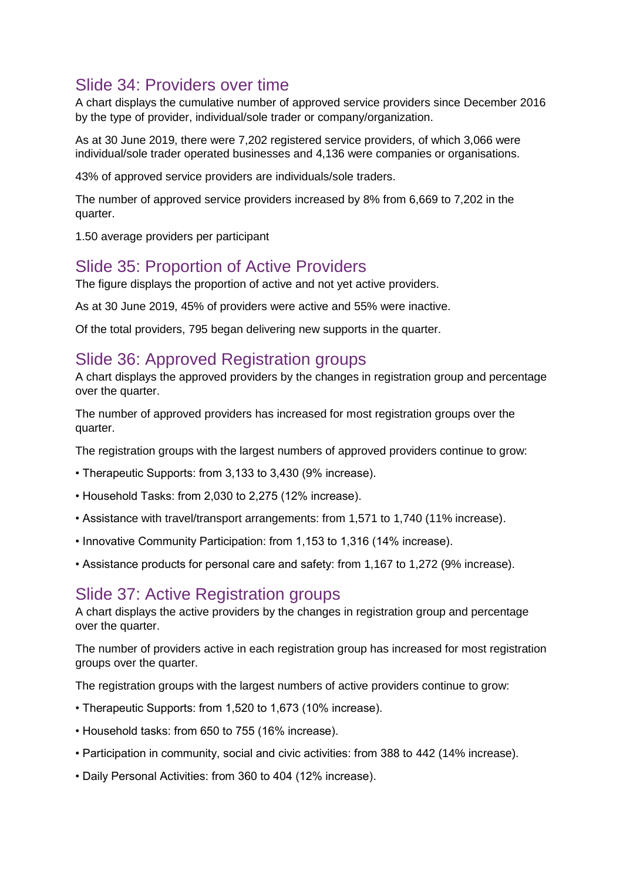# Slide 34: Providers over time

A chart displays the cumulative number of approved service providers since December 2016 by the type of provider, individual/sole trader or company/organization.

As at 30 June 2019, there were 7,202 registered service providers, of which 3,066 were individual/sole trader operated businesses and 4,136 were companies or organisations.

43% of approved service providers are individuals/sole traders.

The number of approved service providers increased by 8% from 6,669 to 7,202 in the quarter.

1.50 average providers per participant

### Slide 35: Proportion of Active Providers

The figure displays the proportion of active and not yet active providers.

As at 30 June 2019, 45% of providers were active and 55% were inactive.

Of the total providers, 795 began delivering new supports in the quarter.

### Slide 36: Approved Registration groups

A chart displays the approved providers by the changes in registration group and percentage over the quarter.

The number of approved providers has increased for most registration groups over the quarter.

The registration groups with the largest numbers of approved providers continue to grow:

- Therapeutic Supports: from 3,133 to 3,430 (9% increase).
- Household Tasks: from 2,030 to 2,275 (12% increase).
- Assistance with travel/transport arrangements: from 1,571 to 1,740 (11% increase).
- Innovative Community Participation: from 1,153 to 1,316 (14% increase).
- Assistance products for personal care and safety: from 1,167 to 1,272 (9% increase).

#### Slide 37: Active Registration groups

A chart displays the active providers by the changes in registration group and percentage over the quarter.

The number of providers active in each registration group has increased for most registration groups over the quarter.

The registration groups with the largest numbers of active providers continue to grow:

- Therapeutic Supports: from 1,520 to 1,673 (10% increase).
- Household tasks: from 650 to 755 (16% increase).
- Participation in community, social and civic activities: from 388 to 442 (14% increase).
- Daily Personal Activities: from 360 to 404 (12% increase).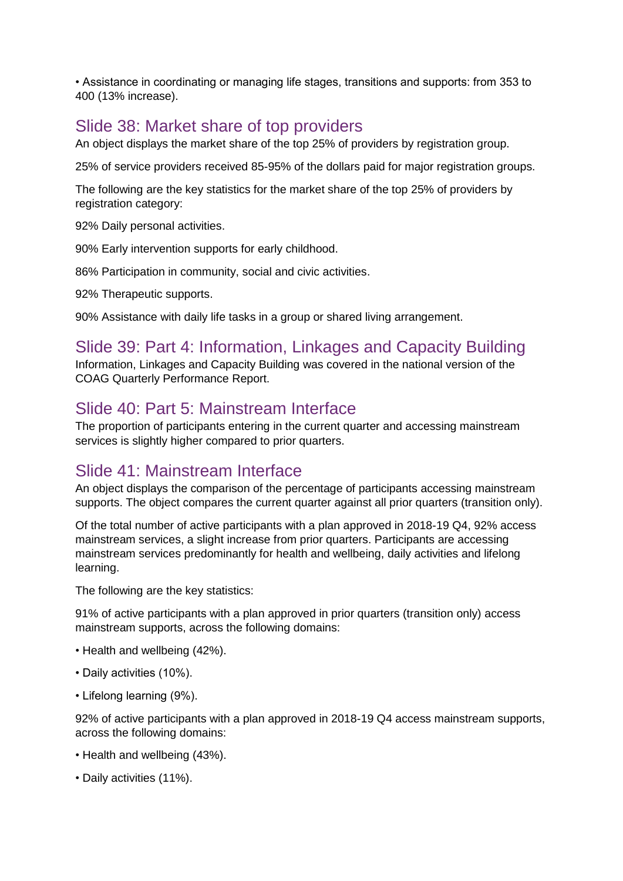• Assistance in coordinating or managing life stages, transitions and supports: from 353 to 400 (13% increase).

# Slide 38: Market share of top providers

An object displays the market share of the top 25% of providers by registration group.

25% of service providers received 85-95% of the dollars paid for major registration groups.

The following are the key statistics for the market share of the top 25% of providers by registration category:

92% Daily personal activities.

90% Early intervention supports for early childhood.

86% Participation in community, social and civic activities.

92% Therapeutic supports.

90% Assistance with daily life tasks in a group or shared living arrangement.

# Slide 39: Part 4: Information, Linkages and Capacity Building

Information, Linkages and Capacity Building was covered in the national version of the COAG Quarterly Performance Report.

# Slide 40: Part 5: Mainstream Interface

The proportion of participants entering in the current quarter and accessing mainstream services is slightly higher compared to prior quarters.

# Slide 41: Mainstream Interface

An object displays the comparison of the percentage of participants accessing mainstream supports. The object compares the current quarter against all prior quarters (transition only).

Of the total number of active participants with a plan approved in 2018-19 Q4, 92% access mainstream services, a slight increase from prior quarters. Participants are accessing mainstream services predominantly for health and wellbeing, daily activities and lifelong learning.

The following are the key statistics:

91% of active participants with a plan approved in prior quarters (transition only) access mainstream supports, across the following domains:

- Health and wellbeing (42%).
- Daily activities (10%).
- Lifelong learning (9%).

92% of active participants with a plan approved in 2018-19 Q4 access mainstream supports, across the following domains:

- Health and wellbeing (43%).
- Daily activities (11%).